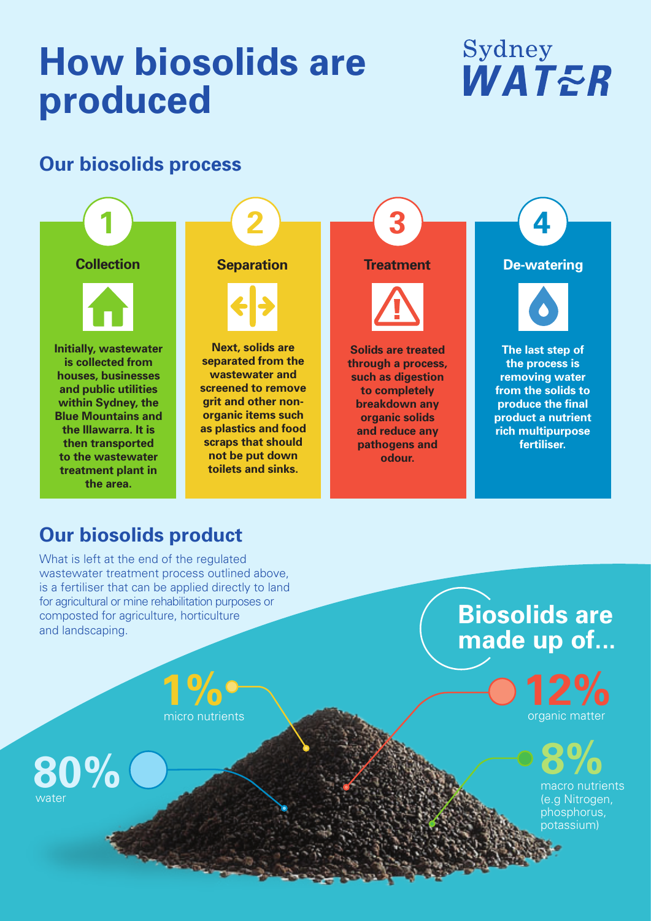# **How biosolids are produced**

## Sydney WATER

#### **Our biosolids process**



### **Our biosolids product**

**the area.**

What is left at the end of the regulated wastewater treatment process outlined above, is a fertiliser that can be applied directly to land for agricultural or mine rehabilitation purposes or composted for agriculture, horticulture and landscaping.

**Biosolids are made up of...**

organic matter **1% 12%**

**8%**

macro nutrients (e.g Nitrogen, phosphorus, potassium)

micro nutrients

**80%** water